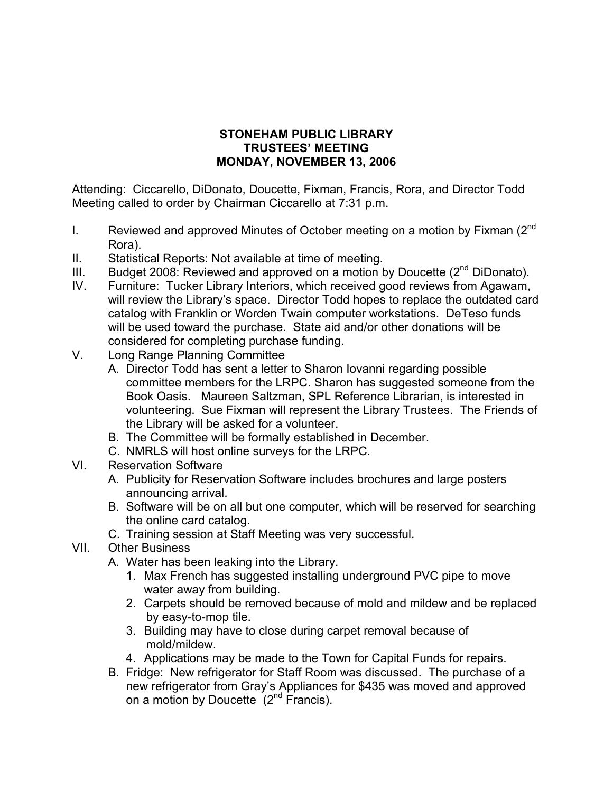## **STONEHAM PUBLIC LIBRARY TRUSTEES' MEETING MONDAY, NOVEMBER 13, 2006**

Attending: Ciccarello, DiDonato, Doucette, Fixman, Francis, Rora, and Director Todd Meeting called to order by Chairman Ciccarello at 7:31 p.m.

- I. Reviewed and approved Minutes of October meeting on a motion by Fixman  $(2^{nd}$ Rora).
- II. Statistical Reports: Not available at time of meeting.
- III. Budget 2008: Reviewed and approved on a motion by Doucette  $(2^{nd}$  DiDonato).
- IV. Furniture: Tucker Library Interiors, which received good reviews from Agawam, will review the Library's space. Director Todd hopes to replace the outdated card catalog with Franklin or Worden Twain computer workstations. DeTeso funds will be used toward the purchase. State aid and/or other donations will be considered for completing purchase funding.
- V. Long Range Planning Committee
	- A. Director Todd has sent a letter to Sharon Iovanni regarding possible committee members for the LRPC. Sharon has suggested someone from the Book Oasis. Maureen Saltzman, SPL Reference Librarian, is interested in volunteering. Sue Fixman will represent the Library Trustees. The Friends of the Library will be asked for a volunteer.
	- B. The Committee will be formally established in December.
	- C. NMRLS will host online surveys for the LRPC.
- VI. Reservation Software
	- A. Publicity for Reservation Software includes brochures and large posters announcing arrival.
	- B. Software will be on all but one computer, which will be reserved for searching the online card catalog.
	- C. Training session at Staff Meeting was very successful.
- VII. Other Business
	- A. Water has been leaking into the Library.
		- 1. Max French has suggested installing underground PVC pipe to move water away from building.
		- 2. Carpets should be removed because of mold and mildew and be replaced by easy-to-mop tile.
		- 3. Building may have to close during carpet removal because of mold/mildew.
		- 4. Applications may be made to the Town for Capital Funds for repairs.
	- B. Fridge: New refrigerator for Staff Room was discussed. The purchase of a new refrigerator from Gray's Appliances for \$435 was moved and approved on a motion by Doucette  $(2^{nd}$  Francis).